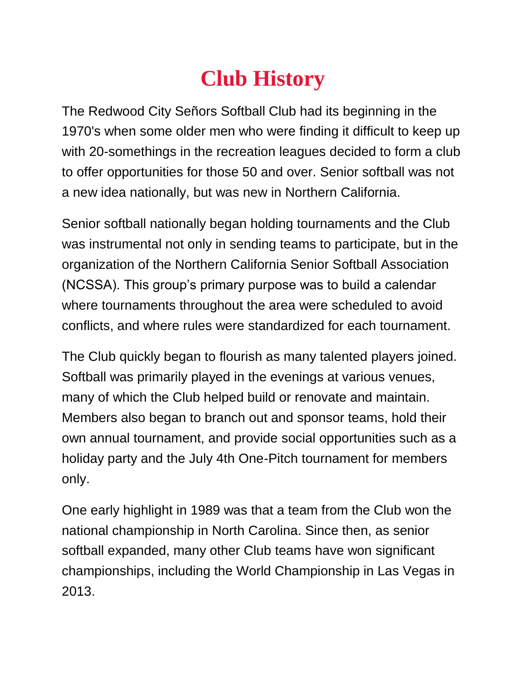## **Club History**

The Redwood City Señors Softball Club had its beginning in the 1970's when some older men who were finding it difficult to keep up with 20-somethings in the recreation leagues decided to form a club to offer opportunities for those 50 and over. Senior softball was not a new idea nationally, but was new in Northern California.

Senior softball nationally began holding tournaments and the Club was instrumental not only in sending teams to participate, but in the organization of the Northern California Senior Softball Association (NCSSA). This group's primary purpose was to build a calendar where tournaments throughout the area were scheduled to avoid conflicts, and where rules were standardized for each tournament.

The Club quickly began to flourish as many talented players joined. Softball was primarily played in the evenings at various venues, many of which the Club helped build or renovate and maintain. Members also began to branch out and sponsor teams, hold their own annual tournament, and provide social opportunities such as a holiday party and the July 4th One-Pitch tournament for members only.

One early highlight in 1989 was that a team from the Club won the national championship in North Carolina. Since then, as senior softball expanded, many other Club teams have won significant championships, including the World Championship in Las Vegas in 2013.